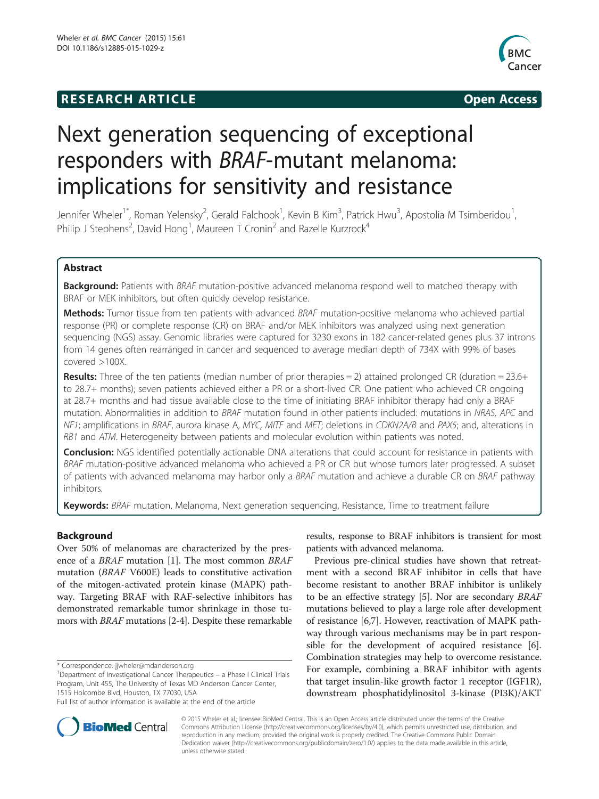## **RESEARCH ARTICLE Example 2014 The SEAR CH ACCESS**



# Next generation sequencing of exceptional responders with BRAF-mutant melanoma: implications for sensitivity and resistance

Jennifer Wheler<sup>1\*</sup>, Roman Yelensky<sup>2</sup>, Gerald Falchook<sup>1</sup>, Kevin B Kim<sup>3</sup>, Patrick Hwu<sup>3</sup>, Apostolia M Tsimberidou<sup>1</sup> , Philip J Stephens<sup>2</sup>, David Hong<sup>1</sup>, Maureen T Cronin<sup>2</sup> and Razelle Kurzrock<sup>4</sup>

## Abstract

Background: Patients with BRAF mutation-positive advanced melanoma respond well to matched therapy with BRAF or MEK inhibitors, but often quickly develop resistance.

Methods: Tumor tissue from ten patients with advanced BRAF mutation-positive melanoma who achieved partial response (PR) or complete response (CR) on BRAF and/or MEK inhibitors was analyzed using next generation sequencing (NGS) assay. Genomic libraries were captured for 3230 exons in 182 cancer-related genes plus 37 introns from 14 genes often rearranged in cancer and sequenced to average median depth of 734X with 99% of bases covered >100X.

**Results:** Three of the ten patients (median number of prior therapies  $= 2$ ) attained prolonged CR (duration  $= 23.6+$ to 28.7+ months); seven patients achieved either a PR or a short-lived CR. One patient who achieved CR ongoing at 28.7+ months and had tissue available close to the time of initiating BRAF inhibitor therapy had only a BRAF mutation. Abnormalities in addition to BRAF mutation found in other patients included: mutations in NRAS, APC and NF1; amplifications in BRAF, aurora kinase A, MYC, MITF and MET; deletions in CDKN2A/B and PAX5; and, alterations in RB1 and ATM. Heterogeneity between patients and molecular evolution within patients was noted.

**Conclusion:** NGS identified potentially actionable DNA alterations that could account for resistance in patients with BRAF mutation-positive advanced melanoma who achieved a PR or CR but whose tumors later progressed. A subset of patients with advanced melanoma may harbor only a BRAF mutation and achieve a durable CR on BRAF pathway inhibitors.

Keywords: BRAF mutation, Melanoma, Next generation sequencing, Resistance, Time to treatment failure

## Background

Over 50% of melanomas are characterized by the presence of a BRAF mutation [[1\]](#page-7-0). The most common BRAF mutation (BRAF V600E) leads to constitutive activation of the mitogen-activated protein kinase (MAPK) pathway. Targeting BRAF with RAF-selective inhibitors has demonstrated remarkable tumor shrinkage in those tumors with BRAF mutations [[2](#page-7-0)-[4](#page-7-0)]. Despite these remarkable

\* Correspondence: [jjwheler@mdanderson.org](mailto:jjwheler@mdanderson.org) <sup>1</sup>

results, response to BRAF inhibitors is transient for most patients with advanced melanoma.

Previous pre-clinical studies have shown that retreatment with a second BRAF inhibitor in cells that have become resistant to another BRAF inhibitor is unlikely to be an effective strategy [[5\]](#page-7-0). Nor are secondary BRAF mutations believed to play a large role after development of resistance [\[6,7\]](#page-7-0). However, reactivation of MAPK pathway through various mechanisms may be in part responsible for the development of acquired resistance [\[6](#page-7-0)]. Combination strategies may help to overcome resistance. For example, combining a BRAF inhibitor with agents that target insulin-like growth factor 1 receptor (IGF1R), downstream phosphatidylinositol 3-kinase (PI3K)/AKT



© 2015 Wheler et al.; licensee BioMed Central. This is an Open Access article distributed under the terms of the Creative Commons Attribution License [\(http://creativecommons.org/licenses/by/4.0\)](http://creativecommons.org/licenses/by/4.0), which permits unrestricted use, distribution, and reproduction in any medium, provided the original work is properly credited. The Creative Commons Public Domain Dedication waiver [\(http://creativecommons.org/publicdomain/zero/1.0/](http://creativecommons.org/publicdomain/zero/1.0/)) applies to the data made available in this article, unless otherwise stated.

Department of Investigational Cancer Therapeutics – a Phase I Clinical Trials Program, Unit 455, The University of Texas MD Anderson Cancer Center, 1515 Holcombe Blvd, Houston, TX 77030, USA

Full list of author information is available at the end of the article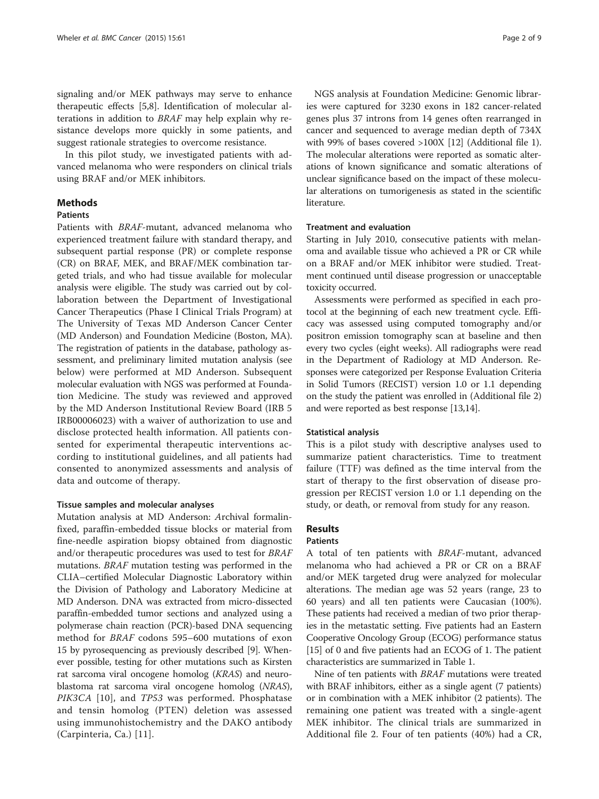signaling and/or MEK pathways may serve to enhance therapeutic effects [\[5,8](#page-7-0)]. Identification of molecular alterations in addition to BRAF may help explain why resistance develops more quickly in some patients, and suggest rationale strategies to overcome resistance.

In this pilot study, we investigated patients with advanced melanoma who were responders on clinical trials using BRAF and/or MEK inhibitors.

## **Methods**

## Patients

Patients with BRAF-mutant, advanced melanoma who experienced treatment failure with standard therapy, and subsequent partial response (PR) or complete response (CR) on BRAF, MEK, and BRAF/MEK combination targeted trials, and who had tissue available for molecular analysis were eligible. The study was carried out by collaboration between the Department of Investigational Cancer Therapeutics (Phase I Clinical Trials Program) at The University of Texas MD Anderson Cancer Center (MD Anderson) and Foundation Medicine (Boston, MA). The registration of patients in the database, pathology assessment, and preliminary limited mutation analysis (see below) were performed at MD Anderson. Subsequent molecular evaluation with NGS was performed at Foundation Medicine. The study was reviewed and approved by the MD Anderson Institutional Review Board (IRB 5 IRB00006023) with a waiver of authorization to use and disclose protected health information. All patients consented for experimental therapeutic interventions according to institutional guidelines, and all patients had consented to anonymized assessments and analysis of data and outcome of therapy.

#### Tissue samples and molecular analyses

Mutation analysis at MD Anderson: Archival formalinfixed, paraffin-embedded tissue blocks or material from fine-needle aspiration biopsy obtained from diagnostic and/or therapeutic procedures was used to test for BRAF mutations. BRAF mutation testing was performed in the CLIA–certified Molecular Diagnostic Laboratory within the Division of Pathology and Laboratory Medicine at MD Anderson. DNA was extracted from micro-dissected paraffin-embedded tumor sections and analyzed using a polymerase chain reaction (PCR)-based DNA sequencing method for BRAF codons 595–600 mutations of exon 15 by pyrosequencing as previously described [[9\]](#page-7-0). Whenever possible, testing for other mutations such as Kirsten rat sarcoma viral oncogene homolog (KRAS) and neuroblastoma rat sarcoma viral oncogene homolog (NRAS), PIK3CA [\[10](#page-7-0)], and *TP53* was performed. Phosphatase and tensin homolog (PTEN) deletion was assessed using immunohistochemistry and the DAKO antibody (Carpinteria, Ca.) [\[11\]](#page-7-0).

NGS analysis at Foundation Medicine: Genomic libraries were captured for 3230 exons in 182 cancer-related genes plus 37 introns from 14 genes often rearranged in cancer and sequenced to average median depth of 734X with 99% of bases covered >100X [\[12](#page-7-0)] (Additional file [1](#page-7-0)). The molecular alterations were reported as somatic alterations of known significance and somatic alterations of unclear significance based on the impact of these molecular alterations on tumorigenesis as stated in the scientific literature.

## Treatment and evaluation

Starting in July 2010, consecutive patients with melanoma and available tissue who achieved a PR or CR while on a BRAF and/or MEK inhibitor were studied. Treatment continued until disease progression or unacceptable toxicity occurred.

Assessments were performed as specified in each protocol at the beginning of each new treatment cycle. Efficacy was assessed using computed tomography and/or positron emission tomography scan at baseline and then every two cycles (eight weeks). All radiographs were read in the Department of Radiology at MD Anderson. Responses were categorized per Response Evaluation Criteria in Solid Tumors (RECIST) version 1.0 or 1.1 depending on the study the patient was enrolled in (Additional file [2](#page-7-0)) and were reported as best response [[13](#page-7-0),[14](#page-7-0)].

#### Statistical analysis

This is a pilot study with descriptive analyses used to summarize patient characteristics. Time to treatment failure (TTF) was defined as the time interval from the start of therapy to the first observation of disease progression per RECIST version 1.0 or 1.1 depending on the study, or death, or removal from study for any reason.

### Results

### Patients

A total of ten patients with BRAF-mutant, advanced melanoma who had achieved a PR or CR on a BRAF and/or MEK targeted drug were analyzed for molecular alterations. The median age was 52 years (range, 23 to 60 years) and all ten patients were Caucasian (100%). These patients had received a median of two prior therapies in the metastatic setting. Five patients had an Eastern Cooperative Oncology Group (ECOG) performance status [[15](#page-7-0)] of 0 and five patients had an ECOG of 1. The patient characteristics are summarized in Table [1](#page-2-0).

Nine of ten patients with BRAF mutations were treated with BRAF inhibitors, either as a single agent (7 patients) or in combination with a MEK inhibitor (2 patients). The remaining one patient was treated with a single-agent MEK inhibitor. The clinical trials are summarized in Additional file [2.](#page-7-0) Four of ten patients (40%) had a CR,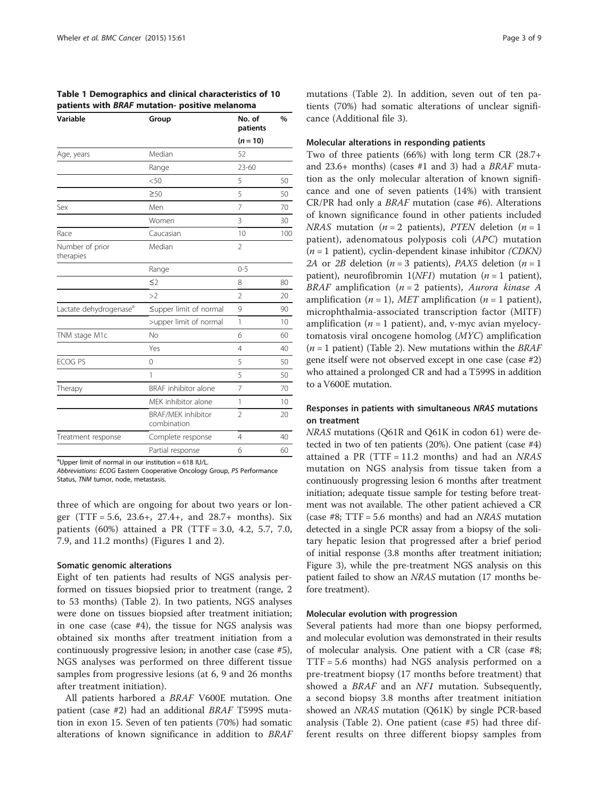<span id="page-2-0"></span>Table 1 Demographics and clinical characteristics of 10 patients with BRAF mutation- positive melanoma

| Variable                           | Group                                    | No. of<br>patients       | %   |
|------------------------------------|------------------------------------------|--------------------------|-----|
|                                    |                                          | $(n = 10)$               |     |
| Age, years                         | Median                                   | 52                       |     |
|                                    | Range                                    | $23 - 60$                |     |
|                                    | < 50                                     | 5                        | 50  |
|                                    | $\geq 50$                                | 5                        | 50  |
| Sex                                | Men                                      | 7                        | 70  |
|                                    | Women                                    | 3                        | 30  |
| Race                               | Caucasian                                | 10                       | 100 |
| Number of prior<br>therapies       | Median                                   | $\overline{\phantom{a}}$ |     |
|                                    | Range                                    | $0 - 5$                  |     |
|                                    | $\leq$ 2                                 | 8                        | 80  |
|                                    | >2                                       | $\overline{2}$           | 20  |
| Lactate dehydrogenase <sup>a</sup> | ≤upper limit of normal                   | 9                        | 90  |
|                                    | >upper limit of normal                   | 1                        | 10  |
| TNM stage M1c                      | <b>No</b>                                | 6                        | 60  |
|                                    | Yes                                      | $\overline{4}$           | 40  |
| <b>ECOG PS</b>                     | $\overline{0}$                           | 5                        | 50  |
|                                    | 1                                        | 5                        | 50  |
| Therapy                            | <b>BRAF</b> inhibitor alone              | $\overline{7}$           | 70  |
|                                    | MEK inhibitor alone                      | 1                        | 10  |
|                                    | <b>BRAF/MEK</b> inhibitor<br>combination | $\overline{2}$           | 20  |
| Treatment response                 | Complete response                        | 4                        | 40  |
|                                    | Partial response                         | 6                        | 60  |
|                                    |                                          |                          |     |

<sup>a</sup>Upper limit of normal in our institution = 618 IU/L.

Abbreviations: ECOG Eastern Cooperative Oncology Group, PS Performance Status, TNM tumor, node, metastasis.

three of which are ongoing for about two years or longer (TTF = 5.6, 23.6+, 27.4+, and  $28.7+$  months). Six patients (60%) attained a PR (TTF = 3.0, 4.2, 5.7, 7.0, 7.9, and 11.2 months) (Figures [1](#page-3-0) and [2\)](#page-3-0).

#### Somatic genomic alterations

Eight of ten patients had results of NGS analysis performed on tissues biopsied prior to treatment (range, 2 to 53 months) (Table [2\)](#page-4-0). In two patients, NGS analyses were done on tissues biopsied after treatment initiation; in one case (case #4), the tissue for NGS analysis was obtained six months after treatment initiation from a continuously progressive lesion; in another case (case #5), NGS analyses was performed on three different tissue samples from progressive lesions (at 6, 9 and 26 months after treatment initiation).

All patients harbored a BRAF V600E mutation. One patient (case #2) had an additional BRAF T599S mutation in exon 15. Seven of ten patients (70%) had somatic alterations of known significance in addition to BRAF

mutations (Table [2\)](#page-4-0). In addition, seven out of ten patients (70%) had somatic alterations of unclear significance (Additional file [3](#page-7-0)).

#### Molecular alterations in responding patients

Two of three patients (66%) with long term CR (28.7+ and 23.6+ months) (cases #1 and 3) had a BRAF mutation as the only molecular alteration of known significance and one of seven patients (14%) with transient CR/PR had only a BRAF mutation (case #6). Alterations of known significance found in other patients included NRAS mutation ( $n = 2$  patients), PTEN deletion ( $n = 1$ ) patient), adenomatous polyposis coli (APC) mutation  $(n = 1$  patient), cyclin-dependent kinase inhibitor (CDKN) 2A or 2B deletion ( $n = 3$  patients), PAX5 deletion ( $n = 1$ ) patient), neurofibromin  $1(NF1)$  mutation (*n* = 1 patient), BRAF amplification ( $n = 2$  patients), Aurora kinase A amplification ( $n = 1$ ), MET amplification ( $n = 1$  patient), microphthalmia-associated transcription factor (MITF) amplification ( $n = 1$  patient), and, v-myc avian myelocytomatosis viral oncogene homolog (MYC) amplification  $(n = 1$  patient) (Table [2](#page-4-0)). New mutations within the *BRAF* gene itself were not observed except in one case (case #2) who attained a prolonged CR and had a T599S in addition to a V600E mutation.

## Responses in patients with simultaneous NRAS mutations on treatment

NRAS mutations (Q61R and Q61K in codon 61) were detected in two of ten patients (20%). One patient (case #4) attained a PR (TTF = 11.2 months) and had an  $NRAS$ mutation on NGS analysis from tissue taken from a continuously progressing lesion 6 months after treatment initiation; adequate tissue sample for testing before treatment was not available. The other patient achieved a CR (case #8;  $TTF = 5.6$  months) and had an *NRAS* mutation detected in a single PCR assay from a biopsy of the solitary hepatic lesion that progressed after a brief period of initial response (3.8 months after treatment initiation; Figure [3](#page-5-0)), while the pre-treatment NGS analysis on this patient failed to show an NRAS mutation (17 months before treatment).

#### Molecular evolution with progression

Several patients had more than one biopsy performed, and molecular evolution was demonstrated in their results of molecular analysis. One patient with a CR (case #8; TTF = 5.6 months) had NGS analysis performed on a pre-treatment biopsy (17 months before treatment) that showed a *BRAF* and an *NF1* mutation. Subsequently, a second biopsy 3.8 months after treatment initiation showed an NRAS mutation (Q61K) by single PCR-based analysis (Table [2](#page-4-0)). One patient (case #5) had three different results on three different biopsy samples from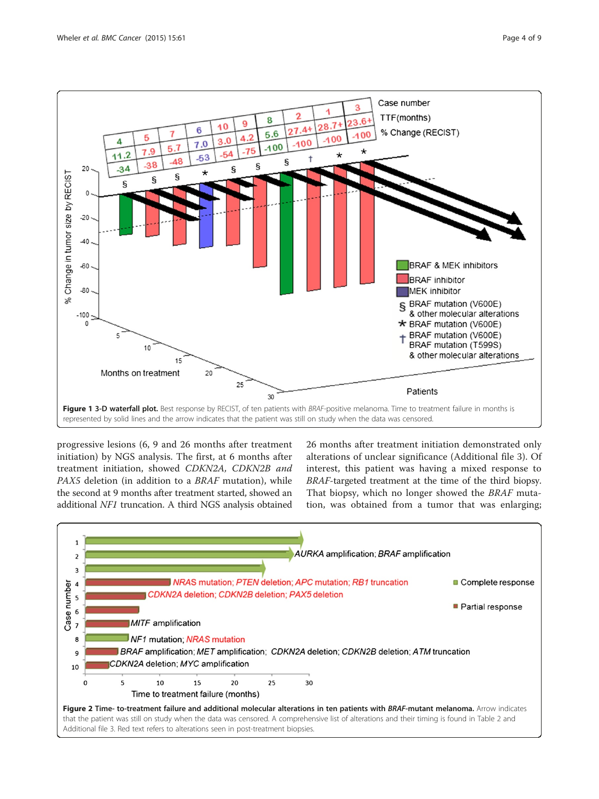<span id="page-3-0"></span>

progressive lesions (6, 9 and 26 months after treatment initiation) by NGS analysis. The first, at 6 months after treatment initiation, showed CDKN2A, CDKN2B and PAX5 deletion (in addition to a BRAF mutation), while the second at 9 months after treatment started, showed an additional NF1 truncation. A third NGS analysis obtained

26 months after treatment initiation demonstrated only alterations of unclear significance (Additional file [3](#page-7-0)). Of interest, this patient was having a mixed response to BRAF-targeted treatment at the time of the third biopsy. That biopsy, which no longer showed the BRAF mutation, was obtained from a tumor that was enlarging;

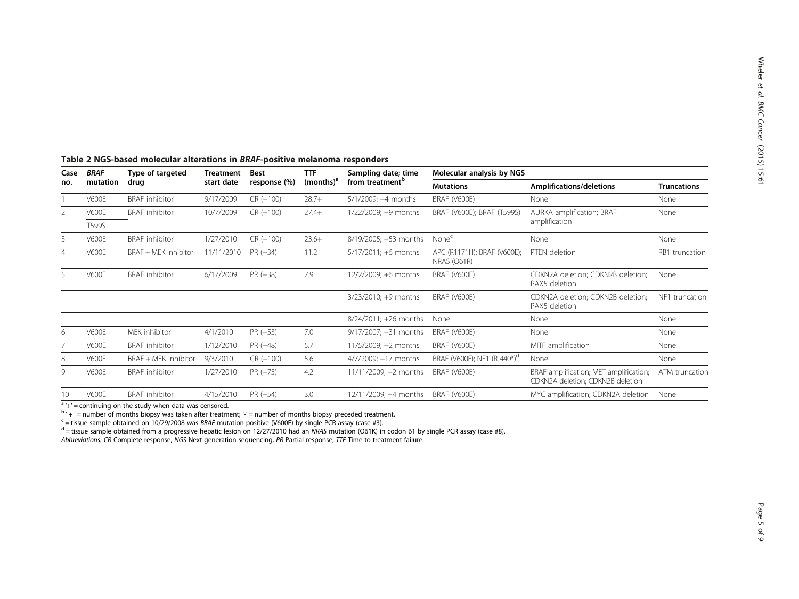| Case<br>no.     | <b>BRAF</b>  | Type of targeted<br>drug | <b>Treatment</b><br>start date | <b>Best</b><br>response (%) | <b>TTF</b><br>$(months)^a$ | Sampling date; time<br>from treatment <sup>b</sup> | Molecular analysis by NGS                  |                                                                            |                    |
|-----------------|--------------|--------------------------|--------------------------------|-----------------------------|----------------------------|----------------------------------------------------|--------------------------------------------|----------------------------------------------------------------------------|--------------------|
|                 | mutation     |                          |                                |                             |                            |                                                    | <b>Mutations</b>                           | Amplifications/deletions                                                   | <b>Truncations</b> |
|                 | <b>V600E</b> | <b>BRAF</b> inhibitor    | 9/17/2009                      | $CR(-100)$                  | $28.7+$                    | $5/1/2009$ ; $-4$ months                           | BRAF (V600E)                               | None                                                                       | None               |
| 2               | <b>V600E</b> | <b>BRAF</b> inhibitor    | 10/7/2009                      | $CR(-100)$                  | $27.4+$                    | $1/22/2009$ ; $-9$ months                          | BRAF (V600E); BRAF (T599S)                 | AURKA amplification; BRAF                                                  | None               |
|                 | T599S        |                          |                                |                             |                            |                                                    |                                            | amplification                                                              |                    |
| 3               | <b>V600E</b> | <b>BRAF</b> inhibitor    | 1/27/2010                      | $CR(-100)$                  | $23.6+$                    | 8/19/2005; -53 months                              | None <sup>c</sup>                          | None                                                                       | None               |
|                 | <b>V600E</b> | BRAF + MEK inhibitor     | 11/11/2010                     | $PR (-34)$                  | 11.2                       | $5/17/2011$ ; +6 months                            | APC (R1171H); BRAF (V600E);<br>NRAS (Q61R) | PTEN deletion                                                              | RB1 truncation     |
| 5.              | <b>V600E</b> | <b>BRAF</b> inhibitor    | 6/17/2009                      | $PR(-38)$                   | 7.9                        | 12/2/2009; +6 months                               | BRAF (V600E)                               | CDKN2A deletion; CDKN2B deletion;<br>PAX5 deletion                         | None               |
|                 |              |                          |                                |                             |                            | $3/23/2010$ ; +9 months                            | BRAF (V600E)                               | CDKN2A deletion; CDKN2B deletion;<br>PAX5 deletion                         | NF1 truncation     |
|                 |              |                          |                                |                             |                            | $8/24/2011$ ; +26 months                           | None                                       | None                                                                       | None               |
| 6               | <b>V600E</b> | MEK inhibitor            | 4/1/2010                       | $PR(-53)$                   | 7.0                        | $9/17/2007$ ; $-31$ months                         | BRAF (V600E)                               | None                                                                       | None               |
|                 | <b>V600E</b> | <b>BRAF</b> inhibitor    | 1/12/2010                      | $PR(-48)$                   | 5.7                        | $11/5/2009$ ; $-2$ months                          | BRAF (V600E)                               | MITF amplification                                                         | None               |
| 8               | <b>V600E</b> | BRAF + MEK inhibitor     | 9/3/2010                       | $CR(-100)$                  | 5.6                        | 4/7/2009; -17 months                               | BRAF (V600E); NF1 (R 440*) <sup>d</sup>    | None                                                                       | None               |
| 9               | <b>V600E</b> | <b>BRAF</b> inhibitor    | 1/27/2010                      | $PR (-75)$                  | 4.2                        | $11/11/2009$ ; -2 months                           | BRAF (V600E)                               | BRAF amplification; MET amplification;<br>CDKN2A deletion; CDKN2B deletion | ATM truncation     |
| 10 <sup>°</sup> | <b>V600E</b> | <b>BRAF</b> inhibitor    | 4/15/2010                      | $PR (-54)$                  | 3.0                        | 12/11/2009; -4 months                              | BRAF (V600E)                               | MYC amplification; CDKN2A deletion                                         | None               |

## <span id="page-4-0"></span>Table 2 NGS-based molecular alterations in BRAF-positive melanoma responders

 $A + C$  = continuing on the study when data was censored.<br>  $A + C$  = number of months biopsy was taken after treatment; '-' = number of months biopsy preceded treatment.<br>  $A + C$  = tissue sample obtained on 10/29/2008 was *BRAF* 

Abbreviations: CR Complete response, NGS Next generation sequencing, PR Partial response, TTF Time to treatment failure.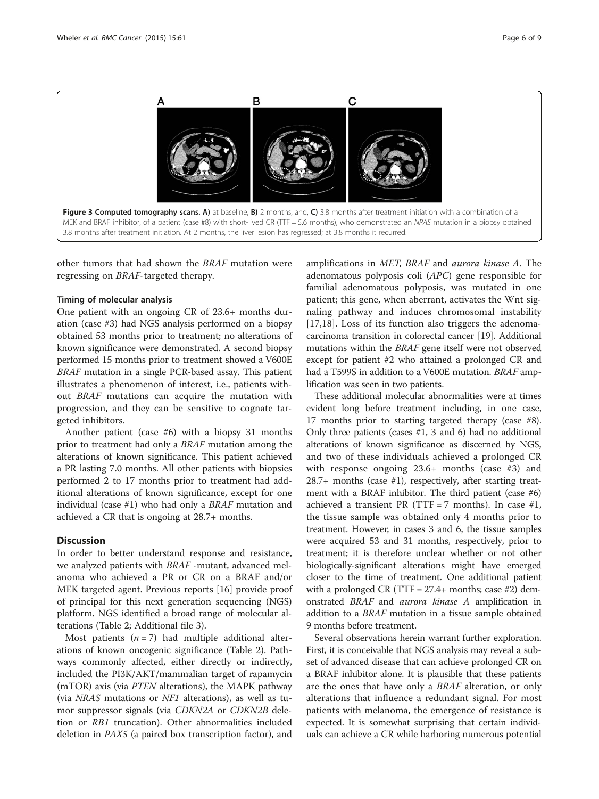<span id="page-5-0"></span>

other tumors that had shown the BRAF mutation were regressing on BRAF-targeted therapy.

#### Timing of molecular analysis

One patient with an ongoing CR of 23.6+ months duration (case #3) had NGS analysis performed on a biopsy obtained 53 months prior to treatment; no alterations of known significance were demonstrated. A second biopsy performed 15 months prior to treatment showed a V600E BRAF mutation in a single PCR-based assay. This patient illustrates a phenomenon of interest, i.e., patients without BRAF mutations can acquire the mutation with progression, and they can be sensitive to cognate targeted inhibitors.

Another patient (case #6) with a biopsy 31 months prior to treatment had only a BRAF mutation among the alterations of known significance. This patient achieved a PR lasting 7.0 months. All other patients with biopsies performed 2 to 17 months prior to treatment had additional alterations of known significance, except for one individual (case #1) who had only a BRAF mutation and achieved a CR that is ongoing at 28.7+ months.

## **Discussion**

In order to better understand response and resistance, we analyzed patients with BRAF -mutant, advanced melanoma who achieved a PR or CR on a BRAF and/or MEK targeted agent. Previous reports [\[16](#page-8-0)] provide proof of principal for this next generation sequencing (NGS) platform. NGS identified a broad range of molecular alterations (Table [2;](#page-4-0) Additional file [3\)](#page-7-0).

Most patients  $(n = 7)$  had multiple additional alterations of known oncogenic significance (Table [2](#page-4-0)). Pathways commonly affected, either directly or indirectly, included the PI3K/AKT/mammalian target of rapamycin (mTOR) axis (via PTEN alterations), the MAPK pathway (via NRAS mutations or NF1 alterations), as well as tumor suppressor signals (via CDKN2A or CDKN2B deletion or RB1 truncation). Other abnormalities included deletion in PAX5 (a paired box transcription factor), and

amplifications in MET, BRAF and aurora kinase A. The adenomatous polyposis coli (APC) gene responsible for familial adenomatous polyposis, was mutated in one patient; this gene, when aberrant, activates the Wnt signaling pathway and induces chromosomal instability [[17,18](#page-8-0)]. Loss of its function also triggers the adenomacarcinoma transition in colorectal cancer [\[19\]](#page-8-0). Additional mutations within the BRAF gene itself were not observed except for patient #2 who attained a prolonged CR and had a T599S in addition to a V600E mutation. BRAF amplification was seen in two patients.

These additional molecular abnormalities were at times evident long before treatment including, in one case, 17 months prior to starting targeted therapy (case #8). Only three patients (cases #1, 3 and 6) had no additional alterations of known significance as discerned by NGS, and two of these individuals achieved a prolonged CR with response ongoing 23.6+ months (case #3) and 28.7+ months (case #1), respectively, after starting treatment with a BRAF inhibitor. The third patient (case #6) achieved a transient PR (TTF = 7 months). In case  $#1$ , the tissue sample was obtained only 4 months prior to treatment. However, in cases 3 and 6, the tissue samples were acquired 53 and 31 months, respectively, prior to treatment; it is therefore unclear whether or not other biologically-significant alterations might have emerged closer to the time of treatment. One additional patient with a prolonged CR (TTF =  $27.4+$  months; case #2) demonstrated BRAF and aurora kinase A amplification in addition to a BRAF mutation in a tissue sample obtained 9 months before treatment.

Several observations herein warrant further exploration. First, it is conceivable that NGS analysis may reveal a subset of advanced disease that can achieve prolonged CR on a BRAF inhibitor alone. It is plausible that these patients are the ones that have only a BRAF alteration, or only alterations that influence a redundant signal. For most patients with melanoma, the emergence of resistance is expected. It is somewhat surprising that certain individuals can achieve a CR while harboring numerous potential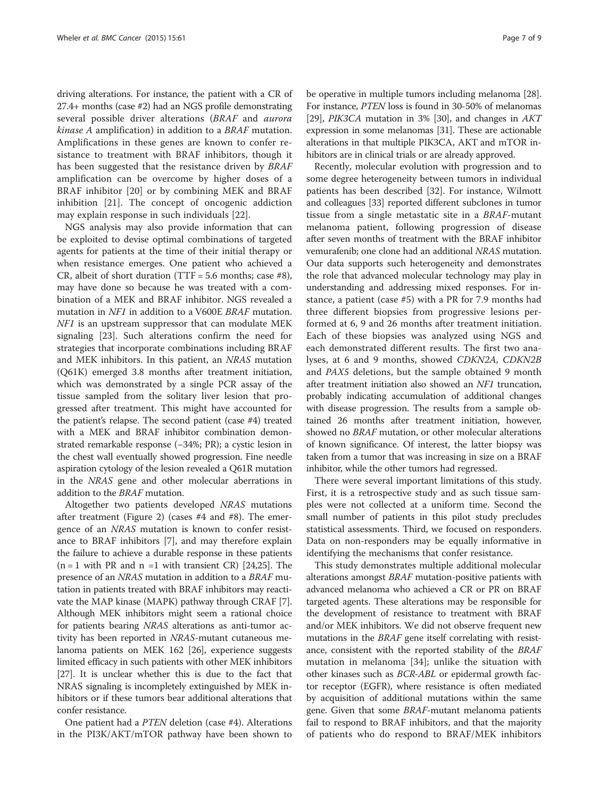driving alterations. For instance, the patient with a CR of 27.4+ months (case #2) had an NGS profile demonstrating several possible driver alterations (BRAF and aurora kinase A amplification) in addition to a BRAF mutation. Amplifications in these genes are known to confer resistance to treatment with BRAF inhibitors, though it has been suggested that the resistance driven by *BRAF* amplification can be overcome by higher doses of a BRAF inhibitor [[20\]](#page-8-0) or by combining MEK and BRAF inhibition [[21\]](#page-8-0). The concept of oncogenic addiction may explain response in such individuals [[22\]](#page-8-0).

NGS analysis may also provide information that can be exploited to devise optimal combinations of targeted agents for patients at the time of their initial therapy or when resistance emerges. One patient who achieved a CR, albeit of short duration (TTF = 5.6 months; case  $#8$ ), may have done so because he was treated with a combination of a MEK and BRAF inhibitor. NGS revealed a mutation in NF1 in addition to a V600E BRAF mutation. NF1 is an upstream suppressor that can modulate MEK signaling [[23\]](#page-8-0). Such alterations confirm the need for strategies that incorporate combinations including BRAF and MEK inhibitors. In this patient, an NRAS mutation (Q61K) emerged 3.8 months after treatment initiation, which was demonstrated by a single PCR assay of the tissue sampled from the solitary liver lesion that progressed after treatment. This might have accounted for the patient's relapse. The second patient (case #4) treated with a MEK and BRAF inhibitor combination demonstrated remarkable response (−34%; PR); a cystic lesion in the chest wall eventually showed progression. Fine needle aspiration cytology of the lesion revealed a Q61R mutation in the NRAS gene and other molecular aberrations in addition to the BRAF mutation.

Altogether two patients developed NRAS mutations after treatment (Figure [2](#page-3-0)) (cases #4 and #8). The emergence of an NRAS mutation is known to confer resistance to BRAF inhibitors [\[7\]](#page-7-0), and may therefore explain the failure to achieve a durable response in these patients  $(n = 1$  with PR and  $n = 1$  with transient CR) [\[24,25\]](#page-8-0). The presence of an NRAS mutation in addition to a BRAF mutation in patients treated with BRAF inhibitors may reactivate the MAP kinase (MAPK) pathway through CRAF [[7](#page-7-0)]. Although MEK inhibitors might seem a rational choice for patients bearing NRAS alterations as anti-tumor activity has been reported in NRAS-mutant cutaneous melanoma patients on MEK 162 [\[26\]](#page-8-0), experience suggests limited efficacy in such patients with other MEK inhibitors [[27](#page-8-0)]. It is unclear whether this is due to the fact that NRAS signaling is incompletely extinguished by MEK inhibitors or if these tumors bear additional alterations that confer resistance.

One patient had a PTEN deletion (case #4). Alterations in the PI3K/AKT/mTOR pathway have been shown to

be operative in multiple tumors including melanoma [[28](#page-8-0)]. For instance, PTEN loss is found in 30-50% of melanomas [[29](#page-8-0)], PIK3CA mutation in 3% [\[30](#page-8-0)], and changes in AKT expression in some melanomas [\[31](#page-8-0)]. These are actionable alterations in that multiple PIK3CA, AKT and mTOR inhibitors are in clinical trials or are already approved.

Recently, molecular evolution with progression and to some degree heterogeneity between tumors in individual patients has been described [\[32](#page-8-0)]. For instance, Wilmott and colleagues [[33](#page-8-0)] reported different subclones in tumor tissue from a single metastatic site in a BRAF-mutant melanoma patient, following progression of disease after seven months of treatment with the BRAF inhibitor vemurafenib; one clone had an additional NRAS mutation. Our data supports such heterogeneity and demonstrates the role that advanced molecular technology may play in understanding and addressing mixed responses. For instance, a patient (case #5) with a PR for 7.9 months had three different biopsies from progressive lesions performed at 6, 9 and 26 months after treatment initiation. Each of these biopsies was analyzed using NGS and each demonstrated different results. The first two analyses, at 6 and 9 months, showed CDKN2A, CDKN2B and PAX5 deletions, but the sample obtained 9 month after treatment initiation also showed an NF1 truncation, probably indicating accumulation of additional changes with disease progression. The results from a sample obtained 26 months after treatment initiation, however, showed no BRAF mutation, or other molecular alterations of known significance. Of interest, the latter biopsy was taken from a tumor that was increasing in size on a BRAF inhibitor, while the other tumors had regressed.

There were several important limitations of this study. First, it is a retrospective study and as such tissue samples were not collected at a uniform time. Second the small number of patients in this pilot study precludes statistical assessments. Third, we focused on responders. Data on non-responders may be equally informative in identifying the mechanisms that confer resistance.

This study demonstrates multiple additional molecular alterations amongst BRAF mutation-positive patients with advanced melanoma who achieved a CR or PR on BRAF targeted agents. These alterations may be responsible for the development of resistance to treatment with BRAF and/or MEK inhibitors. We did not observe frequent new mutations in the *BRAF* gene itself correlating with resistance, consistent with the reported stability of the BRAF mutation in melanoma [\[34](#page-8-0)]; unlike the situation with other kinases such as BCR-ABL or epidermal growth factor receptor (EGFR), where resistance is often mediated by acquisition of additional mutations within the same gene. Given that some BRAF-mutant melanoma patients fail to respond to BRAF inhibitors, and that the majority of patients who do respond to BRAF/MEK inhibitors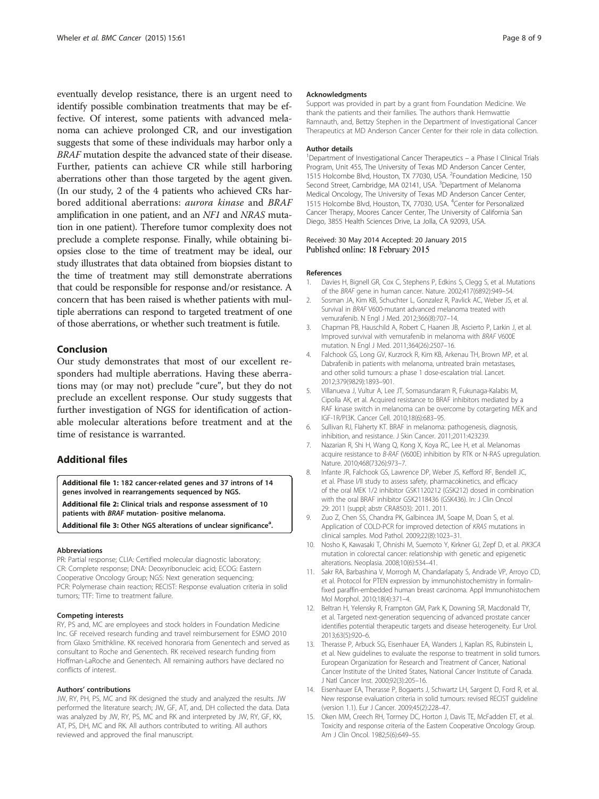<span id="page-7-0"></span>eventually develop resistance, there is an urgent need to identify possible combination treatments that may be effective. Of interest, some patients with advanced melanoma can achieve prolonged CR, and our investigation suggests that some of these individuals may harbor only a BRAF mutation despite the advanced state of their disease. Further, patients can achieve CR while still harboring aberrations other than those targeted by the agent given. (In our study, 2 of the 4 patients who achieved CRs harbored additional aberrations: aurora kinase and BRAF amplification in one patient, and an NF1 and NRAS mutation in one patient). Therefore tumor complexity does not preclude a complete response. Finally, while obtaining biopsies close to the time of treatment may be ideal, our study illustrates that data obtained from biopsies distant to the time of treatment may still demonstrate aberrations that could be responsible for response and/or resistance. A concern that has been raised is whether patients with multiple aberrations can respond to targeted treatment of one of those aberrations, or whether such treatment is futile.

## Conclusion

Our study demonstrates that most of our excellent responders had multiple aberrations. Having these aberrations may (or may not) preclude "cure", but they do not preclude an excellent response. Our study suggests that further investigation of NGS for identification of actionable molecular alterations before treatment and at the time of resistance is warranted.

## Additional files

[Additional file 1:](http://www.biomedcentral.com/content/supplementary/s12885-015-1029-z-s1.pdf) 182 cancer-related genes and 37 introns of 14 genes involved in rearrangements sequenced by NGS. [Additional file 2:](http://www.biomedcentral.com/content/supplementary/s12885-015-1029-z-s2.pdf) Clinical trials and response assessment of 10 patients with BRAF mutation- positive melanoma. [Additional file 3:](http://www.biomedcentral.com/content/supplementary/s12885-015-1029-z-s3.pdf) Other NGS alterations of unclear significance<sup>a</sup>.

#### Abbreviations

PR: Partial response; CLIA: Certified molecular diagnostic laboratory; CR: Complete response; DNA: Deoxyribonucleic acid; ECOG: Eastern Cooperative Oncology Group; NGS: Next generation sequencing; PCR: Polymerase chain reaction; RECIST: Response evaluation criteria in solid tumors; TTF: Time to treatment failure.

#### Competing interests

RY, PS and, MC are employees and stock holders in Foundation Medicine Inc. GF received research funding and travel reimbursement for ESMO 2010 from Glaxo Smithkline. KK received honoraria from Genentech and served as consultant to Roche and Genentech. RK received research funding from Hoffman-LaRoche and Genentech. All remaining authors have declared no conflicts of interest.

## Authors' contributions

JW, RY, PH, PS, MC and RK designed the study and analyzed the results. JW performed the literature search; JW, GF, AT, and, DH collected the data. Data was analyzed by JW, RY, PS, MC and RK and interpreted by JW, RY, GF, KK, AT, PS, DH, MC and RK. All authors contributed to writing. All authors reviewed and approved the final manuscript.

#### Acknowledgments

Support was provided in part by a grant from Foundation Medicine. We thank the patients and their families. The authors thank Hemwattie Ramnauth, and, Bettzy Stephen in the Department of Investigational Cancer Therapeutics at MD Anderson Cancer Center for their role in data collection.

#### Author details

<sup>1</sup>Department of Investigational Cancer Therapeutics - a Phase I Clinical Trials Program, Unit 455, The University of Texas MD Anderson Cancer Center, 1515 Holcombe Blvd, Houston, TX 77030, USA. <sup>2</sup>Foundation Medicine, 150 Second Street, Cambridge, MA 02141, USA. <sup>3</sup>Department of Melanoma Medical Oncology, The University of Texas MD Anderson Cancer Center, 1515 Holcombe Blvd, Houston, TX, 77030, USA. <sup>4</sup> Center for Personalized Cancer Therapy, Moores Cancer Center, The University of California San Diego, 3855 Health Sciences Drive, La Jolla, CA 92093, USA.

#### Received: 30 May 2014 Accepted: 20 January 2015 Published online: 18 February 2015

#### References

- 1. Davies H, Bignell GR, Cox C, Stephens P, Edkins S, Clegg S, et al. Mutations of the BRAF gene in human cancer. Nature. 2002;417(6892):949–54.
- 2. Sosman JA, Kim KB, Schuchter L, Gonzalez R, Pavlick AC, Weber JS, et al. Survival in BRAF V600-mutant advanced melanoma treated with vemurafenib. N Engl J Med. 2012;366(8):707–14.
- 3. Chapman PB, Hauschild A, Robert C, Haanen JB, Ascierto P, Larkin J, et al. Improved survival with vemurafenib in melanoma with BRAF V600E mutation. N Engl J Med. 2011;364(26):2507–16.
- 4. Falchook GS, Long GV, Kurzrock R, Kim KB, Arkenau TH, Brown MP, et al. Dabrafenib in patients with melanoma, untreated brain metastases, and other solid tumours: a phase 1 dose-escalation trial. Lancet. 2012;379(9829):1893–901.
- 5. Villanueva J, Vultur A, Lee JT, Somasundaram R, Fukunaga-Kalabis M, Cipolla AK, et al. Acquired resistance to BRAF inhibitors mediated by a RAF kinase switch in melanoma can be overcome by cotargeting MEK and IGF-1R/PI3K. Cancer Cell. 2010;18(6):683–95.
- 6. Sullivan RJ, Flaherty KT. BRAF in melanoma: pathogenesis, diagnosis, inhibition, and resistance. J Skin Cancer. 2011;2011:423239.
- 7. Nazarian R, Shi H, Wang Q, Kong X, Koya RC, Lee H, et al. Melanomas acquire resistance to B-RAF (V600E) inhibition by RTK or N-RAS upregulation. Nature. 2010;468(7326):973–7.
- 8. Infante JR, Falchook GS, Lawrence DP, Weber JS, Kefford RF, Bendell JC, et al. Phase I/II study to assess safety, pharmacokinetics, and efficacy of the oral MEK 1/2 inhibitor GSK1120212 (GSK212) dosed in combination with the oral BRAF inhibitor GSK2118436 (GSK436). In: J Clin Oncol 29: 2011 (suppl; abstr CRA8503): 2011. 2011.
- 9. Zuo Z, Chen SS, Chandra PK, Galbincea JM, Soape M, Doan S, et al. Application of COLD-PCR for improved detection of KRAS mutations in clinical samples. Mod Pathol. 2009;22(8):1023–31.
- 10. Nosho K, Kawasaki T, Ohnishi M, Suemoto Y, Kirkner GJ, Zepf D, et al. PIK3CA mutation in colorectal cancer: relationship with genetic and epigenetic alterations. Neoplasia. 2008;10(6):534–41.
- 11. Sakr RA, Barbashina V, Morrogh M, Chandarlapaty S, Andrade VP, Arroyo CD, et al. Protocol for PTEN expression by immunohistochemistry in formalinfixed paraffin-embedded human breast carcinoma. Appl Immunohistochem Mol Morphol. 2010;18(4):371–4.
- 12. Beltran H, Yelensky R, Frampton GM, Park K, Downing SR, Macdonald TY, et al. Targeted next-generation sequencing of advanced prostate cancer identifies potential therapeutic targets and disease heterogeneity. Eur Urol. 2013;63(5):920–6.
- 13. Therasse P, Arbuck SG, Eisenhauer EA, Wanders J, Kaplan RS, Rubinstein L, et al. New guidelines to evaluate the response to treatment in solid tumors. European Organization for Research and Treatment of Cancer, National Cancer Institute of the United States, National Cancer Institute of Canada. J Natl Cancer Inst. 2000;92(3):205–16.
- 14. Eisenhauer EA, Therasse P, Bogaerts J, Schwartz LH, Sargent D, Ford R, et al. New response evaluation criteria in solid tumours: revised RECIST guideline (version 1.1). Eur J Cancer. 2009;45(2):228–47.
- 15. Oken MM, Creech RH, Tormey DC, Horton J, Davis TE, McFadden ET, et al. Toxicity and response criteria of the Eastern Cooperative Oncology Group. Am J Clin Oncol. 1982;5(6):649–55.